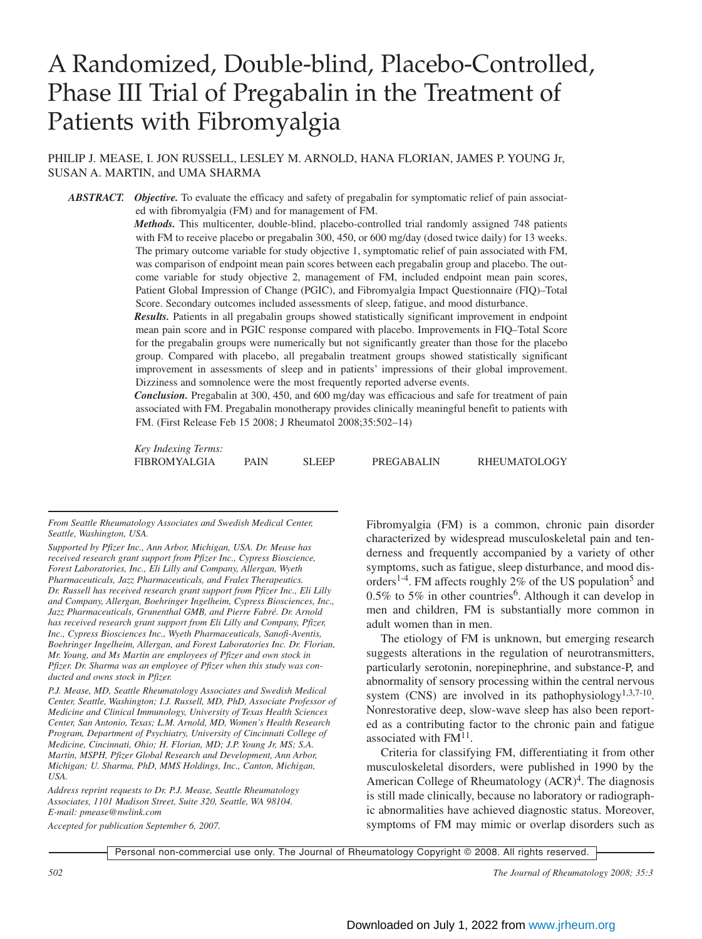# A Randomized, Double-blind, Placebo-Controlled, Phase III Trial of Pregabalin in the Treatment of Patients with Fibromyalgia

PHILIP J. MEASE, I. JON RUSSELL, LESLEY M. ARNOLD, HANA FLORIAN, JAMES P. YOUNG Jr, SUSAN A. MARTIN, and UMA SHARMA

*ABSTRACT. Objective.* To evaluate the efficacy and safety of pregabalin for symptomatic relief of pain associated with fibromyalgia (FM) and for management of FM.

> *Methods.* This multicenter, double-blind, placebo-controlled trial randomly assigned 748 patients with FM to receive placebo or pregabalin 300, 450, or 600 mg/day (dosed twice daily) for 13 weeks. The primary outcome variable for study objective 1, symptomatic relief of pain associated with FM, was comparison of endpoint mean pain scores between each pregabalin group and placebo. The outcome variable for study objective 2, management of FM, included endpoint mean pain scores, Patient Global Impression of Change (PGIC), and Fibromyalgia Impact Questionnaire (FIQ)–Total Score. Secondary outcomes included assessments of sleep, fatigue, and mood disturbance.

> *Results.* Patients in all pregabalin groups showed statistically significant improvement in endpoint mean pain score and in PGIC response compared with placebo. Improvements in FIQ–Total Score for the pregabalin groups were numerically but not significantly greater than those for the placebo group. Compared with placebo, all pregabalin treatment groups showed statistically significant improvement in assessments of sleep and in patients' impressions of their global improvement. Dizziness and somnolence were the most frequently reported adverse events.

> *Conclusion.* Pregabalin at 300, 450, and 600 mg/day was efficacious and safe for treatment of pain associated with FM. Pregabalin monotherapy provides clinically meaningful benefit to patients with FM. (First Release Feb 15 2008; J Rheumatol 2008;35:502–14)

> *Key Indexing Terms:* FIBROMYALGIA PAIN SLEEP PREGABALIN RHEUMATOLOGY

*From Seattle Rheumatology Associates and Swedish Medical Center, Seattle, Washington, USA.*

*Supported by Pfizer Inc., Ann Arbor, Michigan, USA. Dr. Mease has received research grant support from Pfizer Inc., Cypress Bioscience, Forest Laboratories, Inc., Eli Lilly and Company, Allergan, Wyeth Pharmaceuticals, Jazz Pharmaceuticals, and Fralex Therapeutics. Dr. Russell has received research grant support from Pfizer Inc., Eli Lilly and Company, Allergan, Boehringer Ingelheim, Cypress Biosciences, Inc., Jazz Pharmaceuticals, Grunenthal GMB, and Pierre Fabré. Dr. Arnold has received research grant support from Eli Lilly and Company, Pfizer, Inc., Cypress Biosciences Inc., Wyeth Pharmaceuticals, Sanofi-Aventis, Boehringer Ingelheim, Allergan, and Forest Laboratories Inc. Dr. Florian, Mr. Young, and Ms Martin are employees of Pfizer and own stock in Pfizer. Dr. Sharma was an employee of Pfizer when this study was conducted and owns stock in Pfizer.*

*P.J. Mease, MD, Seattle Rheumatology Associates and Swedish Medical Center, Seattle, Washington; I.J. Russell, MD, PhD, Associate Professor of Medicine and Clinical Immunology, University of Texas Health Sciences Center, San Antonio, Texas; L.M. Arnold, MD, Women's Health Research Program, Department of Psychiatry, University of Cincinnati College of Medicine, Cincinnati, Ohio; H. Florian, MD; J.P. Young Jr, MS; S.A. Martin, MSPH, Pfizer Global Research and Development, Ann Arbor, Michigan; U. Sharma, PhD, MMS Holdings, Inc., Canton, Michigan, USA.*

*Address reprint requests to Dr. P.J. Mease, Seattle Rheumatology Associates, 1101 Madison Street, Suite 320, Seattle, WA 98104. E-mail: pmease@nwlink.com*

*Accepted for publication September 6, 2007.*

Fibromyalgia (FM) is a common, chronic pain disorder characterized by widespread musculoskeletal pain and tenderness and frequently accompanied by a variety of other symptoms, such as fatigue, sleep disturbance, and mood disorders<sup>1-4</sup>. FM affects roughly 2% of the US population<sup>5</sup> and  $0.5\%$  to 5% in other countries<sup>6</sup>. Although it can develop in men and children, FM is substantially more common in adult women than in men.

The etiology of FM is unknown, but emerging research suggests alterations in the regulation of neurotransmitters, particularly serotonin, norepinephrine, and substance-P, and abnormality of sensory processing within the central nervous system (CNS) are involved in its pathophysiology<sup>1,3,7-10</sup>. Nonrestorative deep, slow-wave sleep has also been reported as a contributing factor to the chronic pain and fatigue associated with  $FM<sup>11</sup>$ .

Criteria for classifying FM, differentiating it from other musculoskeletal disorders, were published in 1990 by the American College of Rheumatology  $(ACR)^4$ . The diagnosis is still made clinically, because no laboratory or radiographic abnormalities have achieved diagnostic status. Moreover, symptoms of FM may mimic or overlap disorders such as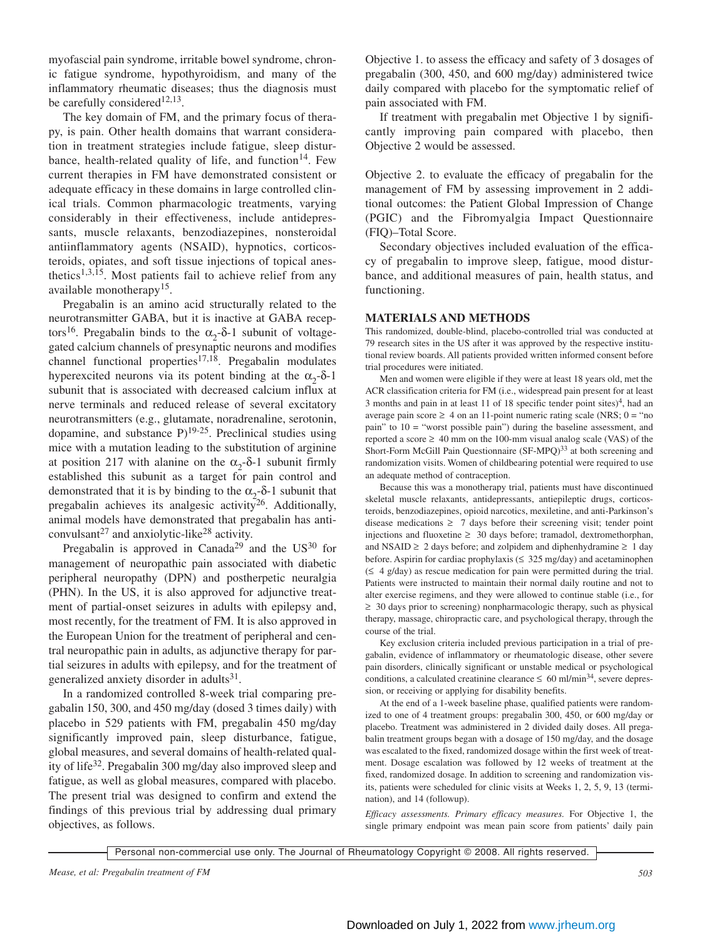myofascial pain syndrome, irritable bowel syndrome, chronic fatigue syndrome, hypothyroidism, and many of the inflammatory rheumatic diseases; thus the diagnosis must be carefully considered<sup>12,13</sup>.

The key domain of FM, and the primary focus of therapy, is pain. Other health domains that warrant consideration in treatment strategies include fatigue, sleep disturbance, health-related quality of life, and function<sup>14</sup>. Few current therapies in FM have demonstrated consistent or adequate efficacy in these domains in large controlled clinical trials. Common pharmacologic treatments, varying considerably in their effectiveness, include antidepressants, muscle relaxants, benzodiazepines, nonsteroidal antiinflammatory agents (NSAID), hypnotics, corticosteroids, opiates, and soft tissue injections of topical anesthetics<sup>1,3,15</sup>. Most patients fail to achieve relief from any available monotherapy<sup>15</sup>.

Pregabalin is an amino acid structurally related to the neurotransmitter GABA, but it is inactive at GABA receptors<sup>16</sup>. Pregabalin binds to the  $\alpha_2$ -δ-1 subunit of voltagegated calcium channels of presynaptic neurons and modifies channel functional properties $17,18$ . Pregabalin modulates hyperexcited neurons via its potent binding at the  $\alpha_2$ -δ-1 subunit that is associated with decreased calcium influx at nerve terminals and reduced release of several excitatory neurotransmitters (e.g., glutamate, noradrenaline, serotonin, dopamine, and substance  $P$ )<sup>19-25</sup>. Preclinical studies using mice with a mutation leading to the substitution of arginine at position 217 with alanine on the  $\alpha_2$ -δ-1 subunit firmly established this subunit as a target for pain control and demonstrated that it is by binding to the  $\alpha_2$ -δ-1 subunit that pregabalin achieves its analgesic activity<sup>26</sup>. Additionally, animal models have demonstrated that pregabalin has anticonvulsant $^{27}$  and anxiolytic-like<sup>28</sup> activity.

Pregabalin is approved in Canada<sup>29</sup> and the  $US^{30}$  for management of neuropathic pain associated with diabetic peripheral neuropathy (DPN) and postherpetic neuralgia (PHN). In the US, it is also approved for adjunctive treatment of partial-onset seizures in adults with epilepsy and, most recently, for the treatment of FM. It is also approved in the European Union for the treatment of peripheral and central neuropathic pain in adults, as adjunctive therapy for partial seizures in adults with epilepsy, and for the treatment of generalized anxiety disorder in adults $31$ .

In a randomized controlled 8-week trial comparing pregabalin 150, 300, and 450 mg/day (dosed 3 times daily) with placebo in 529 patients with FM, pregabalin 450 mg/day significantly improved pain, sleep disturbance, fatigue, global measures, and several domains of health-related quality of life32. Pregabalin 300 mg/day also improved sleep and fatigue, as well as global measures, compared with placebo. The present trial was designed to confirm and extend the findings of this previous trial by addressing dual primary objectives, as follows.

Objective 1. to assess the efficacy and safety of 3 dosages of pregabalin (300, 450, and 600 mg/day) administered twice daily compared with placebo for the symptomatic relief of pain associated with FM.

If treatment with pregabalin met Objective 1 by significantly improving pain compared with placebo, then Objective 2 would be assessed.

Objective 2. to evaluate the efficacy of pregabalin for the management of FM by assessing improvement in 2 additional outcomes: the Patient Global Impression of Change (PGIC) and the Fibromyalgia Impact Questionnaire (FIQ)–Total Score.

Secondary objectives included evaluation of the efficacy of pregabalin to improve sleep, fatigue, mood disturbance, and additional measures of pain, health status, and functioning.

#### **MATERIALS AND METHODS**

This randomized, double-blind, placebo-controlled trial was conducted at 79 research sites in the US after it was approved by the respective institutional review boards. All patients provided written informed consent before trial procedures were initiated.

Men and women were eligible if they were at least 18 years old, met the ACR classification criteria for FM (i.e., widespread pain present for at least 3 months and pain in at least 11 of 18 specific tender point sites)<sup>4</sup>, had an average pain score  $\geq 4$  on an 11-point numeric rating scale (NRS;  $0 =$  "no pain" to 10 = "worst possible pain") during the baseline assessment, and reported a score  $\geq 40$  mm on the 100-mm visual analog scale (VAS) of the Short-Form McGill Pain Questionnaire (SF-MPQ)<sup>33</sup> at both screening and randomization visits. Women of childbearing potential were required to use an adequate method of contraception.

Because this was a monotherapy trial, patients must have discontinued skeletal muscle relaxants, antidepressants, antiepileptic drugs, corticosteroids, benzodiazepines, opioid narcotics, mexiletine, and anti-Parkinson's disease medications  $\geq$  7 days before their screening visit; tender point injections and fluoxetine  $\geq 30$  days before; tramadol, dextromethorphan, and NSAID  $\geq 2$  days before; and zolpidem and diphenhydramine  $\geq 1$  day before. Aspirin for cardiac prophylaxis ( $\leq 325$  mg/day) and acetaminophen (≤ 4 g/day) as rescue medication for pain were permitted during the trial. Patients were instructed to maintain their normal daily routine and not to alter exercise regimens, and they were allowed to continue stable (i.e., for ≥ 30 days prior to screening) nonpharmacologic therapy, such as physical therapy, massage, chiropractic care, and psychological therapy, through the course of the trial.

Key exclusion criteria included previous participation in a trial of pregabalin, evidence of inflammatory or rheumatologic disease, other severe pain disorders, clinically significant or unstable medical or psychological conditions, a calculated creatinine clearance  $\leq 60$  ml/min<sup>34</sup>, severe depression, or receiving or applying for disability benefits.

At the end of a 1-week baseline phase, qualified patients were randomized to one of 4 treatment groups: pregabalin 300, 450, or 600 mg/day or placebo. Treatment was administered in 2 divided daily doses. All pregabalin treatment groups began with a dosage of 150 mg/day, and the dosage was escalated to the fixed, randomized dosage within the first week of treatment. Dosage escalation was followed by 12 weeks of treatment at the fixed, randomized dosage. In addition to screening and randomization visits, patients were scheduled for clinic visits at Weeks 1, 2, 5, 9, 13 (termination), and 14 (followup).

*Efficacy assessments. Primary efficacy measures.* For Objective 1, the single primary endpoint was mean pain score from patients' daily pain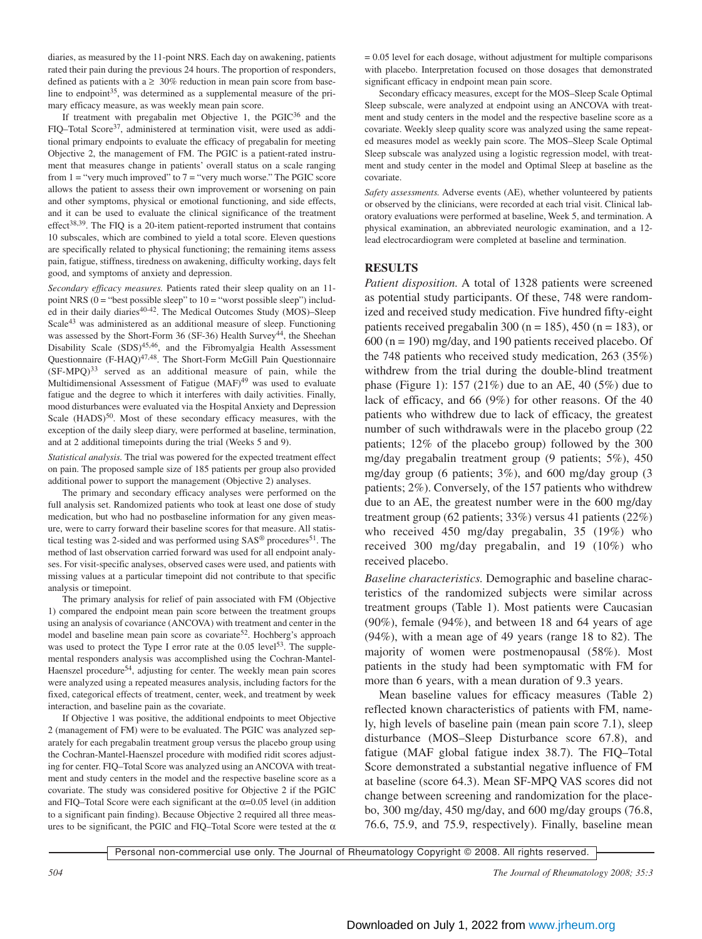diaries, as measured by the 11-point NRS. Each day on awakening, patients rated their pain during the previous 24 hours. The proportion of responders, defined as patients with a  $\geq 30\%$  reduction in mean pain score from baseline to endpoint $35$ , was determined as a supplemental measure of the primary efficacy measure, as was weekly mean pain score.

If treatment with pregabalin met Objective 1, the PGIC36 and the FIO–Total Score<sup>37</sup>, administered at termination visit, were used as additional primary endpoints to evaluate the efficacy of pregabalin for meeting Objective 2, the management of FM. The PGIC is a patient-rated instrument that measures change in patients' overall status on a scale ranging from  $1 =$  "very much improved" to  $7 =$  "very much worse." The PGIC score allows the patient to assess their own improvement or worsening on pain and other symptoms, physical or emotional functioning, and side effects, and it can be used to evaluate the clinical significance of the treatment  $effect^{38,39}$ . The FIQ is a 20-item patient-reported instrument that contains 10 subscales, which are combined to yield a total score. Eleven questions are specifically related to physical functioning; the remaining items assess pain, fatigue, stiffness, tiredness on awakening, difficulty working, days felt good, and symptoms of anxiety and depression.

*Secondary efficacy measures.* Patients rated their sleep quality on an 11 point NRS ( $0 =$  "best possible sleep" to  $10 =$  "worst possible sleep") included in their daily diaries<sup>40-42</sup>. The Medical Outcomes Study (MOS)–Sleep Scale43 was administered as an additional measure of sleep. Functioning was assessed by the Short-Form 36 (SF-36) Health Survey<sup>44</sup>, the Sheehan Disability Scale (SDS)<sup>45,46</sup>, and the Fibromyalgia Health Assessment Questionnaire (F-HAQ)47,48. The Short-Form McGill Pain Questionnaire  $(SF-MPQ)^{33}$  served as an additional measure of pain, while the Multidimensional Assessment of Fatigue (MAF)<sup>49</sup> was used to evaluate fatigue and the degree to which it interferes with daily activities. Finally, mood disturbances were evaluated via the Hospital Anxiety and Depression Scale (HADS)<sup>50</sup>. Most of these secondary efficacy measures, with the exception of the daily sleep diary, were performed at baseline, termination, and at 2 additional timepoints during the trial (Weeks 5 and 9).

*Statistical analysis.* The trial was powered for the expected treatment effect on pain. The proposed sample size of 185 patients per group also provided additional power to support the management (Objective 2) analyses.

The primary and secondary efficacy analyses were performed on the full analysis set. Randomized patients who took at least one dose of study medication, but who had no postbaseline information for any given measure, were to carry forward their baseline scores for that measure. All statistical testing was 2-sided and was performed using  $SAS^{\circledast}$  procedures<sup>51</sup>. The method of last observation carried forward was used for all endpoint analyses. For visit-specific analyses, observed cases were used, and patients with missing values at a particular timepoint did not contribute to that specific analysis or timepoint.

The primary analysis for relief of pain associated with FM (Objective 1) compared the endpoint mean pain score between the treatment groups using an analysis of covariance (ANCOVA) with treatment and center in the model and baseline mean pain score as covariate<sup>52</sup>. Hochberg's approach was used to protect the Type I error rate at the  $0.05$  level<sup>53</sup>. The supplemental responders analysis was accomplished using the Cochran-Mantel-Haenszel procedure<sup>54</sup>, adjusting for center. The weekly mean pain scores were analyzed using a repeated measures analysis, including factors for the fixed, categorical effects of treatment, center, week, and treatment by week interaction, and baseline pain as the covariate.

If Objective 1 was positive, the additional endpoints to meet Objective 2 (management of FM) were to be evaluated. The PGIC was analyzed separately for each pregabalin treatment group versus the placebo group using the Cochran-Mantel-Haenszel procedure with modified ridit scores adjusting for center. FIQ–Total Score was analyzed using an ANCOVA with treatment and study centers in the model and the respective baseline score as a covariate. The study was considered positive for Objective 2 if the PGIC and FIQ–Total Score were each significant at the  $\alpha$ =0.05 level (in addition to a significant pain finding). Because Objective 2 required all three measures to be significant, the PGIC and FIQ–Total Score were tested at the  $\alpha$   $= 0.05$  level for each dosage, without adjustment for multiple comparisons with placebo. Interpretation focused on those dosages that demonstrated significant efficacy in endpoint mean pain score.

Secondary efficacy measures, except for the MOS–Sleep Scale Optimal Sleep subscale, were analyzed at endpoint using an ANCOVA with treatment and study centers in the model and the respective baseline score as a covariate. Weekly sleep quality score was analyzed using the same repeated measures model as weekly pain score. The MOS–Sleep Scale Optimal Sleep subscale was analyzed using a logistic regression model, with treatment and study center in the model and Optimal Sleep at baseline as the covariate.

*Safety assessments.* Adverse events (AE), whether volunteered by patients or observed by the clinicians, were recorded at each trial visit. Clinical laboratory evaluations were performed at baseline, Week 5, and termination. A physical examination, an abbreviated neurologic examination, and a 12 lead electrocardiogram were completed at baseline and termination.

#### **RESULTS**

*Patient disposition.* A total of 1328 patients were screened as potential study participants. Of these, 748 were randomized and received study medication. Five hundred fifty-eight patients received pregabalin 300 ( $n = 185$ ), 450 ( $n = 183$ ), or 600 (n = 190) mg/day, and 190 patients received placebo. Of the 748 patients who received study medication, 263 (35%) withdrew from the trial during the double-blind treatment phase (Figure 1): 157 (21%) due to an AE, 40 (5%) due to lack of efficacy, and 66 (9%) for other reasons. Of the 40 patients who withdrew due to lack of efficacy, the greatest number of such withdrawals were in the placebo group (22 patients; 12% of the placebo group) followed by the 300 mg/day pregabalin treatment group (9 patients; 5%), 450 mg/day group (6 patients; 3%), and 600 mg/day group (3 patients; 2%). Conversely, of the 157 patients who withdrew due to an AE, the greatest number were in the 600 mg/day treatment group (62 patients; 33%) versus 41 patients (22%) who received 450 mg/day pregabalin, 35 (19%) who received 300 mg/day pregabalin, and 19 (10%) who received placebo.

*Baseline characteristics.* Demographic and baseline characteristics of the randomized subjects were similar across treatment groups (Table 1). Most patients were Caucasian (90%), female (94%), and between 18 and 64 years of age (94%), with a mean age of 49 years (range 18 to 82). The majority of women were postmenopausal (58%). Most patients in the study had been symptomatic with FM for more than 6 years, with a mean duration of 9.3 years.

Mean baseline values for efficacy measures (Table 2) reflected known characteristics of patients with FM, namely, high levels of baseline pain (mean pain score 7.1), sleep disturbance (MOS–Sleep Disturbance score 67.8), and fatigue (MAF global fatigue index 38.7). The FIQ–Total Score demonstrated a substantial negative influence of FM at baseline (score 64.3). Mean SF-MPQ VAS scores did not change between screening and randomization for the placebo, 300 mg/day, 450 mg/day, and 600 mg/day groups (76.8, 76.6, 75.9, and 75.9, respectively). Finally, baseline mean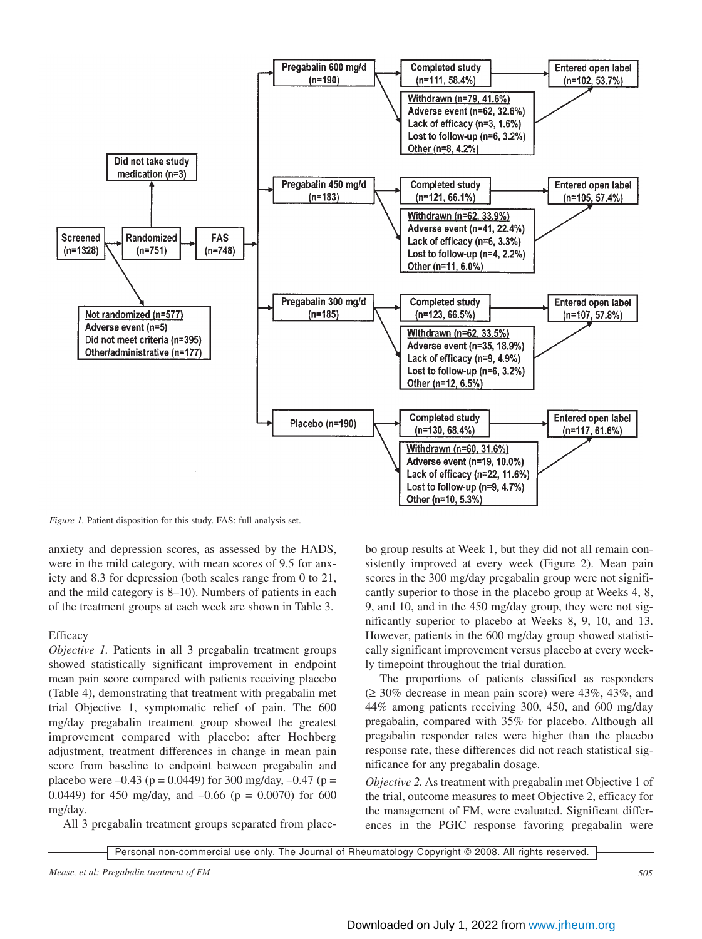

*Figure 1.* Patient disposition for this study. FAS: full analysis set.

anxiety and depression scores, as assessed by the HADS, were in the mild category, with mean scores of 9.5 for anxiety and 8.3 for depression (both scales range from 0 to 21, and the mild category is 8–10). Numbers of patients in each of the treatment groups at each week are shown in Table 3.

#### **Efficacy**

*Objective 1.* Patients in all 3 pregabalin treatment groups showed statistically significant improvement in endpoint mean pain score compared with patients receiving placebo (Table 4), demonstrating that treatment with pregabalin met trial Objective 1, symptomatic relief of pain. The 600 mg/day pregabalin treatment group showed the greatest improvement compared with placebo: after Hochberg adjustment, treatment differences in change in mean pain score from baseline to endpoint between pregabalin and placebo were  $-0.43$  (p = 0.0449) for 300 mg/day,  $-0.47$  (p = 0.0449) for 450 mg/day, and  $-0.66$  (p = 0.0070) for 600 mg/day.

All 3 pregabalin treatment groups separated from place-

bo group results at Week 1, but they did not all remain consistently improved at every week (Figure 2). Mean pain scores in the 300 mg/day pregabalin group were not significantly superior to those in the placebo group at Weeks 4, 8, 9, and 10, and in the 450 mg/day group, they were not significantly superior to placebo at Weeks 8, 9, 10, and 13. However, patients in the 600 mg/day group showed statistically significant improvement versus placebo at every weekly timepoint throughout the trial duration.

The proportions of patients classified as responders  $(\geq 30\%$  decrease in mean pain score) were 43%, 43%, and 44% among patients receiving 300, 450, and 600 mg/day pregabalin, compared with 35% for placebo. Although all pregabalin responder rates were higher than the placebo response rate, these differences did not reach statistical significance for any pregabalin dosage.

*Objective 2.* As treatment with pregabalin met Objective 1 of the trial, outcome measures to meet Objective 2, efficacy for the management of FM, were evaluated. Significant differences in the PGIC response favoring pregabalin were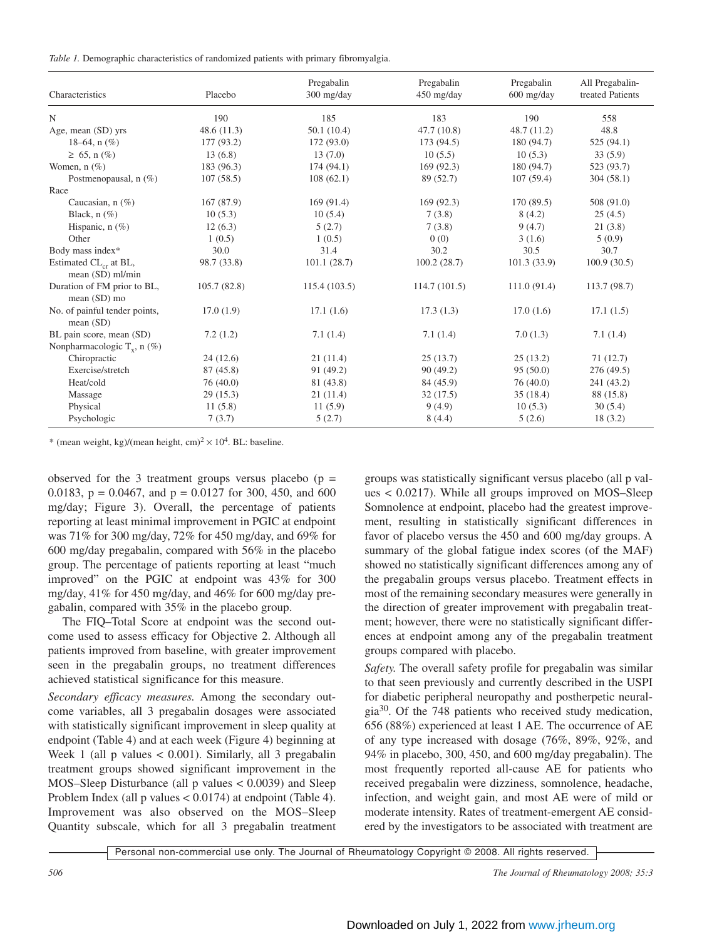| Table 1. Demographic characteristics of randomized patients with primary fibromyalgia. |  |  |  |
|----------------------------------------------------------------------------------------|--|--|--|
|----------------------------------------------------------------------------------------|--|--|--|

|                                                       |             | Pregabalin    | Pregabalin   | Pregabalin   | All Pregabalin-  |
|-------------------------------------------------------|-------------|---------------|--------------|--------------|------------------|
| Characteristics                                       | Placebo     | 300 mg/day    | 450 mg/day   | $600$ mg/day | treated Patients |
| N                                                     | 190         | 185           | 183          | 190          | 558              |
| Age, mean (SD) yrs                                    | 48.6(11.3)  | 50.1(10.4)    | 47.7 (10.8)  | 48.7(11.2)   | 48.8             |
| 18–64, n $(\%)$                                       | 177 (93.2)  | 172 (93.0)    | 173 (94.5)   | 180 (94.7)   | 525 (94.1)       |
| $\geq 65$ , n $(\% )$                                 | 13(6.8)     | 13(7.0)       | 10(5.5)      | 10(5.3)      | 33(5.9)          |
| Women, $n$ (%)                                        | 183 (96.3)  | 174(94.1)     | 169(92.3)    | 180 (94.7)   | 523 (93.7)       |
| Postmenopausal, n (%)                                 | 107(58.5)   | 108(62.1)     | 89 (52.7)    | 107(59.4)    | 304(58.1)        |
| Race                                                  |             |               |              |              |                  |
| Caucasian, $n$ (%)                                    | 167(87.9)   | 169(91.4)     | 169(92.3)    | 170 (89.5)   | 508 (91.0)       |
| Black, $n$ (%)                                        | 10(5.3)     | 10(5.4)       | 7(3.8)       | 8(4.2)       | 25(4.5)          |
| Hispanic, $n$ (%)                                     | 12(6.3)     | 5(2.7)        | 7(3.8)       | 9(4.7)       | 21(3.8)          |
| Other                                                 | 1(0.5)      | 1(0.5)        | 0(0)         | 3(1.6)       | 5(0.9)           |
| Body mass index*                                      | 30.0        | 31.4          | 30.2         | 30.5         | 30.7             |
| Estimated CL <sub>cr</sub> at BL,<br>mean (SD) ml/min | 98.7 (33.8) | 101.1(28.7)   | 100.2(28.7)  | 101.3(33.9)  | 100.9(30.5)      |
| Duration of FM prior to BL,<br>mean (SD) mo           | 105.7(82.8) | 115.4 (103.5) | 114.7(101.5) | 111.0(91.4)  | 113.7 (98.7)     |
| No. of painful tender points,<br>mean(SD)             | 17.0(1.9)   | 17.1(1.6)     | 17.3(1.3)    | 17.0(1.6)    | 17.1(1.5)        |
| BL pain score, mean (SD)                              | 7.2(1.2)    | 7.1(1.4)      | 7.1(1.4)     | 7.0(1.3)     | 7.1(1.4)         |
| Nonpharmacologic $T_x$ , n (%)                        |             |               |              |              |                  |
| Chiropractic                                          | 24(12.6)    | 21(11.4)      | 25(13.7)     | 25(13.2)     | 71(12.7)         |
| Exercise/stretch                                      | 87 (45.8)   | 91 (49.2)     | 90(49.2)     | 95(50.0)     | 276 (49.5)       |
| Heat/cold                                             | 76 (40.0)   | 81 (43.8)     | 84 (45.9)    | 76(40.0)     | 241 (43.2)       |
| Massage                                               | 29(15.3)    | 21(11.4)      | 32(17.5)     | 35(18.4)     | 88 (15.8)        |
| Physical                                              | 11(5.8)     | 11(5.9)       | 9(4.9)       | 10(5.3)      | 30(5.4)          |
| Psychologic                                           | 7(3.7)      | 5(2.7)        | 8(4.4)       | 5(2.6)       | 18(3.2)          |

\* (mean weight, kg)/(mean height, cm)<sup>2</sup>  $\times$  10<sup>4</sup>. BL: baseline.

observed for the 3 treatment groups versus placebo ( $p =$ 0.0183,  $p = 0.0467$ , and  $p = 0.0127$  for 300, 450, and 600 mg/day; Figure 3). Overall, the percentage of patients reporting at least minimal improvement in PGIC at endpoint was 71% for 300 mg/day, 72% for 450 mg/day, and 69% for 600 mg/day pregabalin, compared with 56% in the placebo group. The percentage of patients reporting at least "much improved" on the PGIC at endpoint was 43% for 300 mg/day, 41% for 450 mg/day, and 46% for 600 mg/day pregabalin, compared with 35% in the placebo group.

The FIQ–Total Score at endpoint was the second outcome used to assess efficacy for Objective 2. Although all patients improved from baseline, with greater improvement seen in the pregabalin groups, no treatment differences achieved statistical significance for this measure.

*Secondary efficacy measures.* Among the secondary outcome variables, all 3 pregabalin dosages were associated with statistically significant improvement in sleep quality at endpoint (Table 4) and at each week (Figure 4) beginning at Week 1 (all  $p$  values  $< 0.001$ ). Similarly, all 3 pregabalin treatment groups showed significant improvement in the MOS–Sleep Disturbance (all p values < 0.0039) and Sleep Problem Index (all p values < 0.0174) at endpoint (Table 4). Improvement was also observed on the MOS–Sleep Quantity subscale, which for all 3 pregabalin treatment groups was statistically significant versus placebo (all p values < 0.0217). While all groups improved on MOS–Sleep Somnolence at endpoint, placebo had the greatest improvement, resulting in statistically significant differences in favor of placebo versus the 450 and 600 mg/day groups. A summary of the global fatigue index scores (of the MAF) showed no statistically significant differences among any of the pregabalin groups versus placebo. Treatment effects in most of the remaining secondary measures were generally in the direction of greater improvement with pregabalin treatment; however, there were no statistically significant differences at endpoint among any of the pregabalin treatment groups compared with placebo.

*Safety.* The overall safety profile for pregabalin was similar to that seen previously and currently described in the USPI for diabetic peripheral neuropathy and postherpetic neuralgia30. Of the 748 patients who received study medication, 656 (88%) experienced at least 1 AE. The occurrence of AE of any type increased with dosage (76%, 89%, 92%, and 94% in placebo, 300, 450, and 600 mg/day pregabalin). The most frequently reported all-cause AE for patients who received pregabalin were dizziness, somnolence, headache, infection, and weight gain, and most AE were of mild or moderate intensity. Rates of treatment-emergent AE considered by the investigators to be associated with treatment are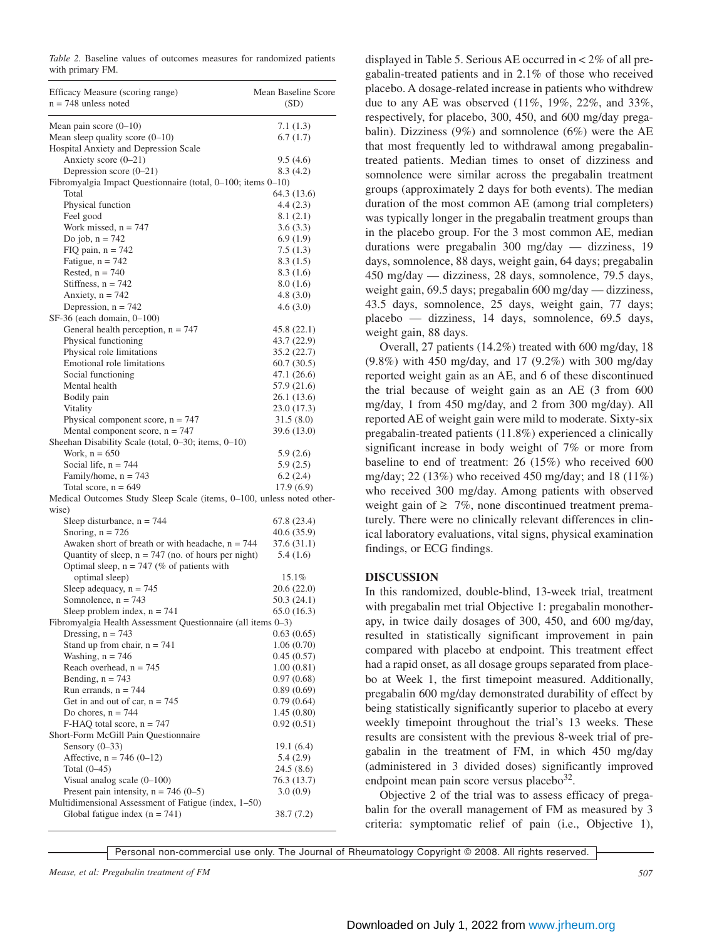*Table 2.* Baseline values of outcomes measures for randomized patients with primary FM.

| Efficacy Measure (scoring range)<br>$n = 748$ unless noted            | Mean Baseline Score<br>(SD) |
|-----------------------------------------------------------------------|-----------------------------|
| Mean pain score $(0-10)$                                              | 7.1(1.3)                    |
| Mean sleep quality score $(0-10)$                                     | 6.7(1.7)                    |
| Hospital Anxiety and Depression Scale                                 |                             |
| Anxiety score (0-21)                                                  | 9.5(4.6)                    |
| Depression score $(0-21)$                                             | 8.3(4.2)                    |
| Fibromyalgia Impact Questionnaire (total, 0-100; items 0-10)          |                             |
| Total                                                                 | 64.3 (13.6)<br>4.4(2.3)     |
| Physical function<br>Feel good                                        | 8.1(2.1)                    |
| Work missed, $n = 747$                                                | 3.6(3.3)                    |
| Do job, $n = 742$                                                     | 6.9(1.9)                    |
| $FIQ$ pain, $n = 742$                                                 | 7.5(1.3)                    |
| Fatigue, $n = 742$                                                    | 8.3(1.5)                    |
| Rested, $n = 740$                                                     | 8.3(1.6)                    |
| Stiffness, $n = 742$                                                  | 8.0(1.6)                    |
| Anxiety, $n = 742$                                                    | 4.8 (3.0)                   |
| Depression, $n = 742$                                                 | 4.6(3.0)                    |
| SF-36 (each domain, 0-100)                                            |                             |
| General health perception, $n = 747$                                  | 45.8(22.1)                  |
| Physical functioning                                                  | 43.7 (22.9)                 |
| Physical role limitations                                             | 35.2 (22.7)                 |
| Emotional role limitations<br>Social functioning                      | 60.7(30.5)<br>47.1(26.6)    |
| Mental health                                                         | 57.9 (21.6)                 |
| Bodily pain                                                           | 26.1 (13.6)                 |
| Vitality                                                              | 23.0(17.3)                  |
| Physical component score, $n = 747$                                   | 31.5 (8.0)                  |
| Mental component score, $n = 747$                                     | 39.6 (13.0)                 |
| Sheehan Disability Scale (total, 0-30; items, 0-10)                   |                             |
| Work, $n = 650$                                                       | 5.9(2.6)                    |
| Social life, $n = 744$                                                | 5.9(2.5)                    |
| Family/home, $n = 743$                                                | 6.2(2.4)                    |
| Total score, $n = 649$                                                | 17.9 (6.9)                  |
| Medical Outcomes Study Sleep Scale (items, 0-100, unless noted other- |                             |
| wise)                                                                 |                             |
| Sleep disturbance, $n = 744$<br>Snoring, $n = 726$                    | 67.8 (23.4)                 |
| Awaken short of breath or with headache, $n = 744$                    | 40.6 (35.9)<br>37.6 (31.1)  |
| Quantity of sleep, $n = 747$ (no. of hours per night)                 | 5.4(1.6)                    |
| Optimal sleep, $n = 747$ (% of patients with                          |                             |
| optimal sleep)                                                        | 15.1%                       |
| Sleep adequacy, $n = 745$                                             | 20.6(22.0)                  |
| Somnolence, $n = 743$                                                 | 50.3 (24.1)                 |
| Sleep problem index, $n = 741$                                        | 65.0(16.3)                  |
| Fibromyalgia Health Assessment Questionnaire (all items 0-3)          |                             |
| Dressing, $n = 743$                                                   | 0.63(0.65)                  |
| Stand up from chair, $n = 741$                                        | 1.06(0.70)                  |
| Washing, $n = 746$                                                    | 0.45(0.57)                  |
| Reach overhead, $n = 745$                                             | 1.00(0.81)<br>0.97(0.68)    |
| Bending, $n = 743$<br>Run errands, $n = 744$                          | 0.89(0.69)                  |
| Get in and out of car, $n = 745$                                      | 0.79(0.64)                  |
| Do chores, $n = 744$                                                  | 1.45(0.80)                  |
| $F-HAQ$ total score, $n = 747$                                        | 0.92(0.51)                  |
| Short-Form McGill Pain Questionnaire                                  |                             |
| Sensory $(0-33)$                                                      | 19.1(6.4)                   |
| Affective, $n = 746 (0-12)$                                           | 5.4(2.9)                    |
| Total $(0-45)$                                                        | 24.5(8.6)                   |
| Visual analog scale $(0-100)$                                         | 76.3 (13.7)                 |
| Present pain intensity, $n = 746(0-5)$                                | 3.0(0.9)                    |
| Multidimensional Assessment of Fatigue (index, 1-50)                  |                             |
| Global fatigue index $(n = 741)$                                      | 38.7 (7.2)                  |

displayed in Table 5. Serious AE occurred in < 2% of all pregabalin-treated patients and in 2.1% of those who received placebo. A dosage-related increase in patients who withdrew due to any AE was observed (11%, 19%, 22%, and 33%, respectively, for placebo, 300, 450, and 600 mg/day pregabalin). Dizziness (9%) and somnolence (6%) were the  $AE$ that most frequently led to withdrawal among pregabalintreated patients. Median times to onset of dizziness and somnolence were similar across the pregabalin treatment groups (approximately 2 days for both events). The median duration of the most common AE (among trial completers) was typically longer in the pregabalin treatment groups than in the placebo group. For the 3 most common AE, median durations were pregabalin 300 mg/day — dizziness, 19 days, somnolence, 88 days, weight gain, 64 days; pregabalin 450 mg/day — dizziness, 28 days, somnolence, 79.5 days, weight gain, 69.5 days; pregabalin 600 mg/day — dizziness, 43.5 days, somnolence, 25 days, weight gain, 77 days; placebo — dizziness, 14 days, somnolence, 69.5 days, weight gain, 88 days.

Overall, 27 patients (14.2%) treated with 600 mg/day, 18 (9.8%) with 450 mg/day, and 17 (9.2%) with 300 mg/day reported weight gain as an AE, and 6 of these discontinued the trial because of weight gain as an AE (3 from 600 mg/day, 1 from 450 mg/day, and 2 from 300 mg/day). All reported AE of weight gain were mild to moderate. Sixty-six pregabalin-treated patients (11.8%) experienced a clinically significant increase in body weight of 7% or more from baseline to end of treatment: 26 (15%) who received 600 mg/day; 22 (13%) who received 450 mg/day; and 18 (11%) who received 300 mg/day. Among patients with observed weight gain of  $\geq 7\%$ , none discontinued treatment prematurely. There were no clinically relevant differences in clinical laboratory evaluations, vital signs, physical examination findings, or ECG findings.

### **DISCUSSION**

In this randomized, double-blind, 13-week trial, treatment with pregabalin met trial Objective 1: pregabalin monotherapy, in twice daily dosages of 300, 450, and 600 mg/day, resulted in statistically significant improvement in pain compared with placebo at endpoint. This treatment effect had a rapid onset, as all dosage groups separated from placebo at Week 1, the first timepoint measured. Additionally, pregabalin 600 mg/day demonstrated durability of effect by being statistically significantly superior to placebo at every weekly timepoint throughout the trial's 13 weeks. These results are consistent with the previous 8-week trial of pregabalin in the treatment of FM, in which 450 mg/day (administered in 3 divided doses) significantly improved endpoint mean pain score versus placebo $32$ .

Objective 2 of the trial was to assess efficacy of pregabalin for the overall management of FM as measured by 3 criteria: symptomatic relief of pain (i.e., Objective 1),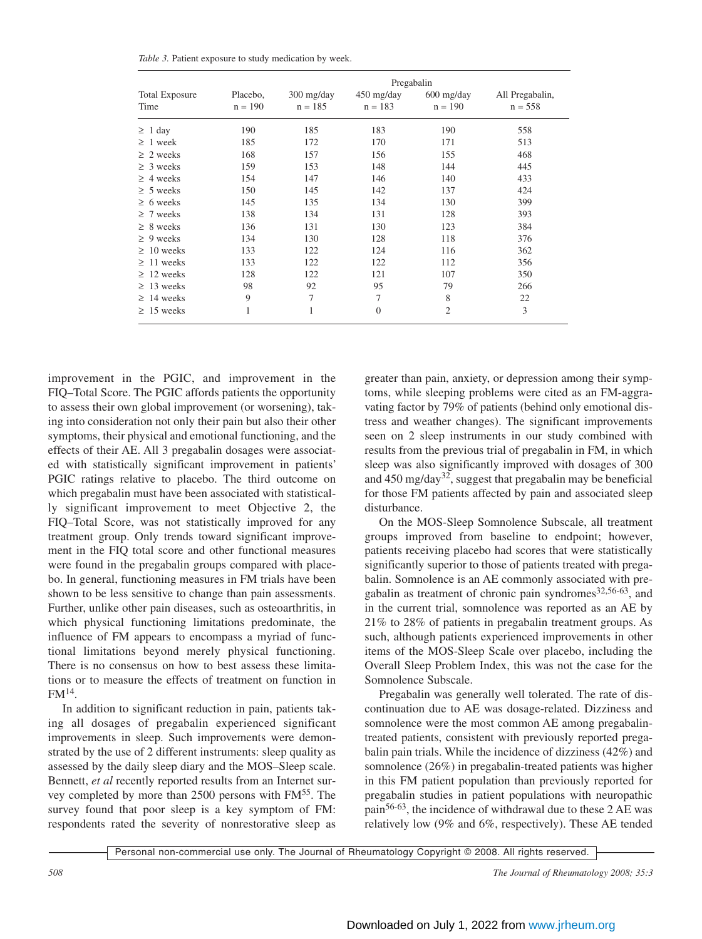|  |  |  |  |  | Table 3. Patient exposure to study medication by week. |  |  |
|--|--|--|--|--|--------------------------------------------------------|--|--|
|--|--|--|--|--|--------------------------------------------------------|--|--|

|                               |                       | Pregabalin                |                                                 |                           |                              |  |  |
|-------------------------------|-----------------------|---------------------------|-------------------------------------------------|---------------------------|------------------------------|--|--|
| <b>Total Exposure</b><br>Time | Placebo,<br>$n = 190$ | $300$ mg/day<br>$n = 185$ | $450 \frac{\text{mg}}{\text{day}}$<br>$n = 183$ | $600$ mg/day<br>$n = 190$ | All Pregabalin,<br>$n = 558$ |  |  |
| $\geq 1$ day                  | 190                   | 185                       | 183                                             | 190                       | 558                          |  |  |
| $\geq 1$ week                 | 185                   | 172                       | 170                                             | 171                       | 513                          |  |  |
| $\geq 2$ weeks                | 168                   | 157                       | 156                                             | 155                       | 468                          |  |  |
| $\geq$ 3 weeks                | 159                   | 153                       | 148                                             | 144                       | 445                          |  |  |
| $\geq 4$ weeks                | 154                   | 147                       | 146                                             | 140                       | 433                          |  |  |
| $\geq$ 5 weeks                | 150                   | 145                       | 142                                             | 137                       | 424                          |  |  |
| $\geq 6$ weeks                | 145                   | 135                       | 134                                             | 130                       | 399                          |  |  |
| $\geq 7$ weeks                | 138                   | 134                       | 131                                             | 128                       | 393                          |  |  |
| $\geq 8$ weeks                | 136                   | 131                       | 130                                             | 123                       | 384                          |  |  |
| $\geq 9$ weeks                | 134                   | 130                       | 128                                             | 118                       | 376                          |  |  |
| $\geq 10$ weeks               | 133                   | 122                       | 124                                             | 116                       | 362                          |  |  |
| $\geq 11$ weeks               | 133                   | 122                       | 122                                             | 112                       | 356                          |  |  |
| $\geq 12$ weeks               | 128                   | 122                       | 121                                             | 107                       | 350                          |  |  |
| $\geq 13$ weeks               | 98                    | 92                        | 95                                              | 79                        | 266                          |  |  |
| $\geq 14$ weeks               | 9                     | $\overline{7}$            | 7                                               | 8                         | 22                           |  |  |
| $\geq 15$ weeks               | 1                     | 1                         | $\Omega$                                        | 2                         | 3                            |  |  |

improvement in the PGIC, and improvement in the FIQ–Total Score. The PGIC affords patients the opportunity to assess their own global improvement (or worsening), taking into consideration not only their pain but also their other symptoms, their physical and emotional functioning, and the effects of their AE. All 3 pregabalin dosages were associated with statistically significant improvement in patients' PGIC ratings relative to placebo. The third outcome on which pregabalin must have been associated with statistically significant improvement to meet Objective 2, the FIQ–Total Score, was not statistically improved for any treatment group. Only trends toward significant improvement in the FIQ total score and other functional measures were found in the pregabalin groups compared with placebo. In general, functioning measures in FM trials have been shown to be less sensitive to change than pain assessments. Further, unlike other pain diseases, such as osteoarthritis, in which physical functioning limitations predominate, the influence of FM appears to encompass a myriad of functional limitations beyond merely physical functioning. There is no consensus on how to best assess these limitations or to measure the effects of treatment on function in  $FM<sup>14</sup>$ .

In addition to significant reduction in pain, patients taking all dosages of pregabalin experienced significant improvements in sleep. Such improvements were demonstrated by the use of 2 different instruments: sleep quality as assessed by the daily sleep diary and the MOS–Sleep scale. Bennett, *et al* recently reported results from an Internet survey completed by more than 2500 persons with FM55. The survey found that poor sleep is a key symptom of FM: respondents rated the severity of nonrestorative sleep as greater than pain, anxiety, or depression among their symptoms, while sleeping problems were cited as an FM-aggravating factor by 79% of patients (behind only emotional distress and weather changes). The significant improvements seen on 2 sleep instruments in our study combined with results from the previous trial of pregabalin in FM, in which sleep was also significantly improved with dosages of 300 and 450 mg/day32, suggest that pregabalin may be beneficial for those FM patients affected by pain and associated sleep disturbance.

On the MOS-Sleep Somnolence Subscale, all treatment groups improved from baseline to endpoint; however, patients receiving placebo had scores that were statistically significantly superior to those of patients treated with pregabalin. Somnolence is an AE commonly associated with pregabalin as treatment of chronic pain syndromes<sup>32,56-63</sup>, and in the current trial, somnolence was reported as an AE by 21% to 28% of patients in pregabalin treatment groups. As such, although patients experienced improvements in other items of the MOS-Sleep Scale over placebo, including the Overall Sleep Problem Index, this was not the case for the Somnolence Subscale.

Pregabalin was generally well tolerated. The rate of discontinuation due to AE was dosage-related. Dizziness and somnolence were the most common AE among pregabalintreated patients, consistent with previously reported pregabalin pain trials. While the incidence of dizziness (42%) and somnolence (26%) in pregabalin-treated patients was higher in this FM patient population than previously reported for pregabalin studies in patient populations with neuropathic pain56-63, the incidence of withdrawal due to these 2 AE was relatively low (9% and 6%, respectively). These AE tended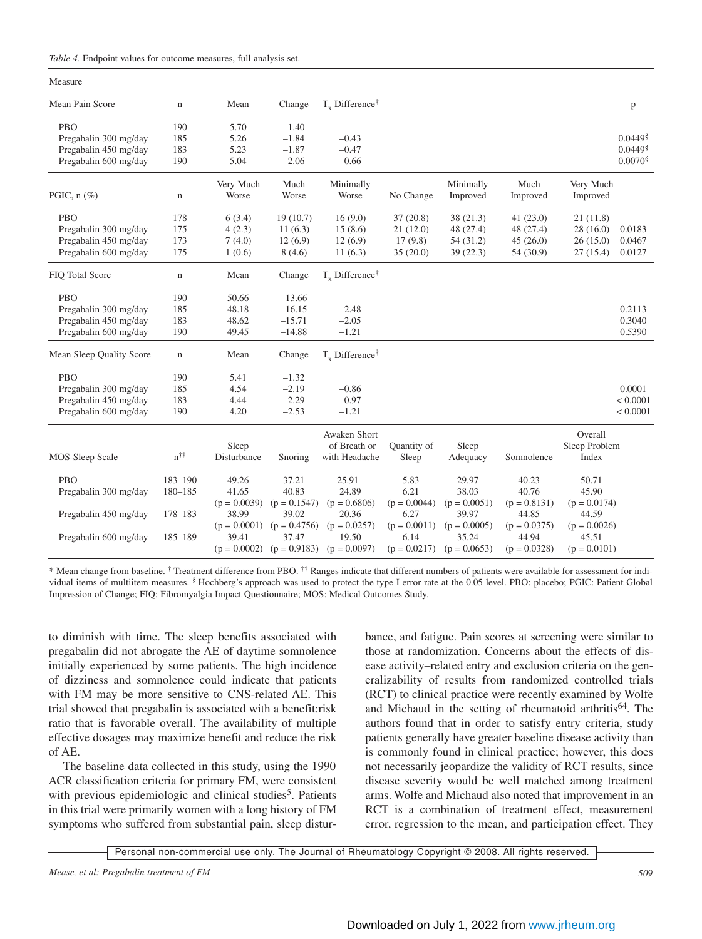| <i>Table 4.</i> Endpoint values for outcome measures, full analysis set. |  |  |  |
|--------------------------------------------------------------------------|--|--|--|
|--------------------------------------------------------------------------|--|--|--|

| Measure                  |                      |                |                               |                                 |                |                |                |                |                       |
|--------------------------|----------------------|----------------|-------------------------------|---------------------------------|----------------|----------------|----------------|----------------|-----------------------|
| Mean Pain Score          | $\mathbf n$          | Mean           | Change                        | $T_{v}$ Difference <sup>†</sup> |                |                |                |                | p                     |
| PBO                      | 190                  | 5.70           | $-1.40$                       |                                 |                |                |                |                |                       |
| Pregabalin 300 mg/day    | 185                  | 5.26           | $-1.84$                       | $-0.43$                         |                |                |                |                | $0.0449*$             |
| Pregabalin 450 mg/day    | 183                  | 5.23           | $-1.87$                       | $-0.47$                         |                |                |                |                | $0.0449$ <sup>§</sup> |
| Pregabalin 600 mg/day    | 190                  | 5.04           | $-2.06$                       | $-0.66$                         |                |                |                |                | $0.0070$ <sup>§</sup> |
|                          |                      | Very Much      | Much                          | Minimally                       |                | Minimally      | Much           | Very Much      |                       |
| PGIC, $n$ (%)            | $\mathbf n$          | Worse          | Worse                         | Worse                           | No Change      | Improved       | Improved       | Improved       |                       |
| PBO                      | 178                  | 6(3.4)         | 19(10.7)                      | 16(9.0)                         | 37(20.8)       | 38(21.3)       | 41(23.0)       | 21(11.8)       |                       |
| Pregabalin 300 mg/day    | 175                  | 4(2.3)         | 11(6.3)                       | 15(8.6)                         | 21(12.0)       | 48 (27.4)      | 48 (27.4)      | 28(16.0)       | 0.0183                |
| Pregabalin 450 mg/day    | 173                  | 7(4.0)         | 12(6.9)                       | 12(6.9)                         | 17(9.8)        | 54 (31.2)      | 45(26.0)       | 26(15.0)       | 0.0467                |
| Pregabalin 600 mg/day    | 175                  | 1(0.6)         | 8(4.6)                        | 11(6.3)                         | 35(20.0)       | 39(22.3)       | 54 (30.9)      | 27(15.4)       | 0.0127                |
| FIQ Total Score          | $\mathbf n$          | Mean           | Change                        | $T_{v}$ Difference <sup>†</sup> |                |                |                |                |                       |
| PBO                      | 190                  | 50.66          | $-13.66$                      |                                 |                |                |                |                |                       |
| Pregabalin 300 mg/day    | 185                  | 48.18          | $-16.15$                      | $-2.48$                         |                |                |                |                | 0.2113                |
| Pregabalin 450 mg/day    | 183                  | 48.62          | $-15.71$                      | $-2.05$                         |                |                |                |                | 0.3040                |
| Pregabalin 600 mg/day    | 190                  | 49.45          | $-14.88$                      | $-1.21$                         |                |                |                |                | 0.5390                |
| Mean Sleep Quality Score | $\mathbf n$          | Mean           | Change                        | $T_{v}$ Difference <sup>†</sup> |                |                |                |                |                       |
| PBO                      | 190                  | 5.41           | $-1.32$                       |                                 |                |                |                |                |                       |
| Pregabalin 300 mg/day    | 185                  | 4.54           | $-2.19$                       | $-0.86$                         |                |                |                |                | 0.0001                |
| Pregabalin 450 mg/day    | 183                  | 4.44           | $-2.29$                       | $-0.97$                         |                |                |                |                | < 0.0001              |
| Pregabalin 600 mg/day    | 190                  | 4.20           | $-2.53$                       | $-1.21$                         |                |                |                |                | < 0.0001              |
|                          |                      |                |                               | Awaken Short                    |                |                |                | Overall        |                       |
|                          |                      | Sleep          |                               | of Breath or                    | Quantity of    | Sleep          |                | Sleep Problem  |                       |
| MOS-Sleep Scale          | $n^{\dagger\dagger}$ | Disturbance    | Snoring                       | with Headache                   | Sleep          | Adequacy       | Somnolence     | Index          |                       |
| PBO                      | $183 - 190$          | 49.26          | 37.21                         | $25.91 -$                       | 5.83           | 29.97          | 40.23          | 50.71          |                       |
| Pregabalin 300 mg/day    | 180-185              | 41.65          | 40.83                         | 24.89                           | 6.21           | 38.03          | 40.76          | 45.90          |                       |
|                          |                      | $(p = 0.0039)$ | $(p = 0.1547)$                | $(p = 0.6806)$                  | $(p = 0.0044)$ | $(p = 0.0051)$ | $(p = 0.8131)$ | $(p = 0.0174)$ |                       |
| Pregabalin 450 mg/day    | 178-183              | 38.99          | 39.02                         | 20.36                           | 6.27           | 39.97          | 44.85          | 44.59          |                       |
|                          |                      | $(p = 0.0001)$ | $(p = 0.4756)$                | $(p = 0.0257)$                  | $(p = 0.0011)$ | $(p = 0.0005)$ | $(p = 0.0375)$ | $(p = 0.0026)$ |                       |
| Pregabalin 600 mg/day    | 185-189              | 39.41          | 37.47                         | 19.50                           | 6.14           | 35.24          | 44.94          | 45.51          |                       |
|                          |                      |                | $(p = 0.0002)$ $(p = 0.9183)$ | $(p = 0.0097)$                  | $(p = 0.0217)$ | $(p = 0.0653)$ | $(p = 0.0328)$ | $(p = 0.0101)$ |                       |
|                          |                      |                |                               |                                 |                |                |                |                |                       |

\* Mean change from baseline. † Treatment difference from PBO. †† Ranges indicate that different numbers of patients were available for assessment for individual items of multiitem measures. § Hochberg's approach was used to protect the type I error rate at the 0.05 level. PBO: placebo; PGIC: Patient Global Impression of Change; FIQ: Fibromyalgia Impact Questionnaire; MOS: Medical Outcomes Study.

to diminish with time. The sleep benefits associated with pregabalin did not abrogate the AE of daytime somnolence initially experienced by some patients. The high incidence of dizziness and somnolence could indicate that patients with FM may be more sensitive to CNS-related AE. This trial showed that pregabalin is associated with a benefit:risk ratio that is favorable overall. The availability of multiple effective dosages may maximize benefit and reduce the risk of AE.

The baseline data collected in this study, using the 1990 ACR classification criteria for primary FM, were consistent with previous epidemiologic and clinical studies<sup>5</sup>. Patients in this trial were primarily women with a long history of FM symptoms who suffered from substantial pain, sleep disturbance, and fatigue. Pain scores at screening were similar to those at randomization. Concerns about the effects of disease activity–related entry and exclusion criteria on the generalizability of results from randomized controlled trials (RCT) to clinical practice were recently examined by Wolfe and Michaud in the setting of rheumatoid arthritis<sup>64</sup>. The authors found that in order to satisfy entry criteria, study patients generally have greater baseline disease activity than is commonly found in clinical practice; however, this does not necessarily jeopardize the validity of RCT results, since disease severity would be well matched among treatment arms. Wolfe and Michaud also noted that improvement in an RCT is a combination of treatment effect, measurement error, regression to the mean, and participation effect. They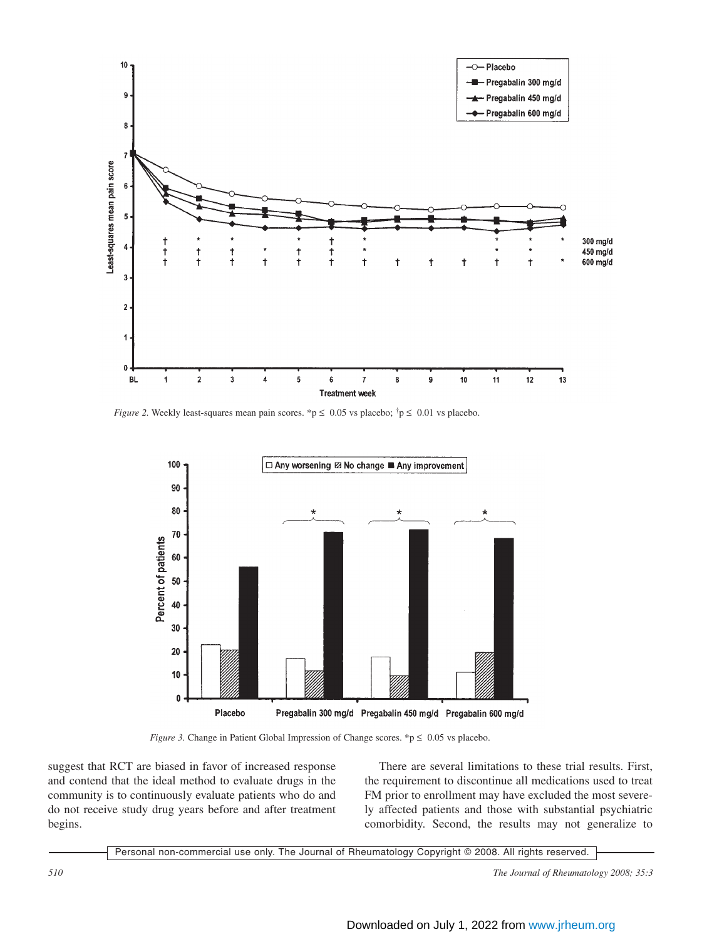

*Figure 2.* Weekly least-squares mean pain scores. \*p  $\leq 0.05$  vs placebo;  $\dot{p} \leq 0.01$  vs placebo.



*Figure 3.* Change in Patient Global Impression of Change scores. \*p  $\leq 0.05$  vs placebo.

suggest that RCT are biased in favor of increased response and contend that the ideal method to evaluate drugs in the community is to continuously evaluate patients who do and do not receive study drug years before and after treatment begins.

There are several limitations to these trial results. First, the requirement to discontinue all medications used to treat FM prior to enrollment may have excluded the most severely affected patients and those with substantial psychiatric comorbidity. Second, the results may not generalize to

Personal non-commercial use only. The Journal of Rheumatology Copyright © 2008. All rights reserved.

*510 The Journal of Rheumatology 2008; 35:3*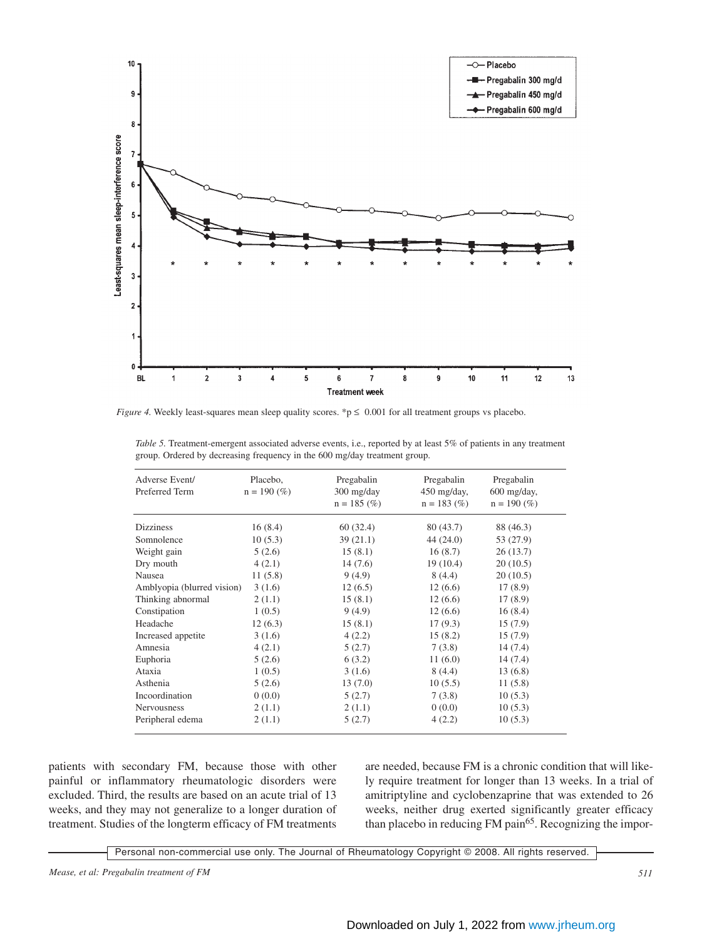

*Figure 4.* Weekly least-squares mean sleep quality scores. \*p  $\leq 0.001$  for all treatment groups vs placebo.

| Adverse Event/<br>Preferred Term | Placebo,<br>$n = 190\ (%)$ | Pregabalin<br>$300$ mg/day<br>$n = 185$ (%) | Pregabalin<br>$450$ mg/day,<br>$n = 183$ (%) | Pregabalin<br>$600$ mg/day,<br>$n = 190\ (%)$ |
|----------------------------------|----------------------------|---------------------------------------------|----------------------------------------------|-----------------------------------------------|
| <b>Dizziness</b>                 | 16(8.4)                    | 60 (32.4)                                   | 80 (43.7)                                    | 88 (46.3)                                     |
| Somnolence                       | 10(5.3)                    | 39(21.1)                                    | 44 (24.0)                                    | 53 (27.9)                                     |
| Weight gain                      | 5(2.6)                     | 15(8.1)                                     | 16(8.7)                                      | 26(13.7)                                      |
| Dry mouth                        | 4(2.1)                     | 14(7.6)                                     | 19(10.4)                                     | 20(10.5)                                      |
| Nausea                           | 11(5.8)                    | 9(4.9)                                      | 8(4.4)                                       | 20(10.5)                                      |
| Amblyopia (blurred vision)       | 3(1.6)                     | 12(6.5)                                     | 12(6.6)                                      | 17(8.9)                                       |
| Thinking abnormal                | 2(1.1)                     | 15(8.1)                                     | 12(6.6)                                      | 17(8.9)                                       |
| Constipation                     | 1(0.5)                     | 9(4.9)                                      | 12(6.6)                                      | 16(8.4)                                       |
| Headache                         | 12(6.3)                    | 15(8.1)                                     | 17(9.3)                                      | 15(7.9)                                       |
| Increased appetite               | 3(1.6)                     | 4(2.2)                                      | 15(8.2)                                      | 15(7.9)                                       |
| Amnesia                          | 4(2.1)                     | 5(2.7)                                      | 7(3.8)                                       | 14(7.4)                                       |
| Euphoria                         | 5(2.6)                     | 6(3.2)                                      | 11(6.0)                                      | 14(7.4)                                       |
| Ataxia                           | 1(0.5)                     | 3(1.6)                                      | 8(4.4)                                       | 13(6.8)                                       |
| Asthenia                         | 5(2.6)                     | 13(7.0)                                     | 10(5.5)                                      | 11(5.8)                                       |
| Incoordination                   | 0(0.0)                     | 5(2.7)                                      | 7(3.8)                                       | 10(5.3)                                       |
| <b>Nervousness</b>               | 2(1.1)                     | 2(1.1)                                      | 0(0.0)                                       | 10(5.3)                                       |
| Peripheral edema                 | 2(1.1)                     | 5(2.7)                                      | 4(2.2)                                       | 10(5.3)                                       |

*Table 5.* Treatment-emergent associated adverse events, i.e., reported by at least 5% of patients in any treatment group. Ordered by decreasing frequency in the 600 mg/day treatment group.

patients with secondary FM, because those with other painful or inflammatory rheumatologic disorders were excluded. Third, the results are based on an acute trial of 13 weeks, and they may not generalize to a longer duration of treatment. Studies of the longterm efficacy of FM treatments

are needed, because FM is a chronic condition that will likely require treatment for longer than 13 weeks. In a trial of amitriptyline and cyclobenzaprine that was extended to 26 weeks, neither drug exerted significantly greater efficacy than placebo in reducing FM pain<sup>65</sup>. Recognizing the impor-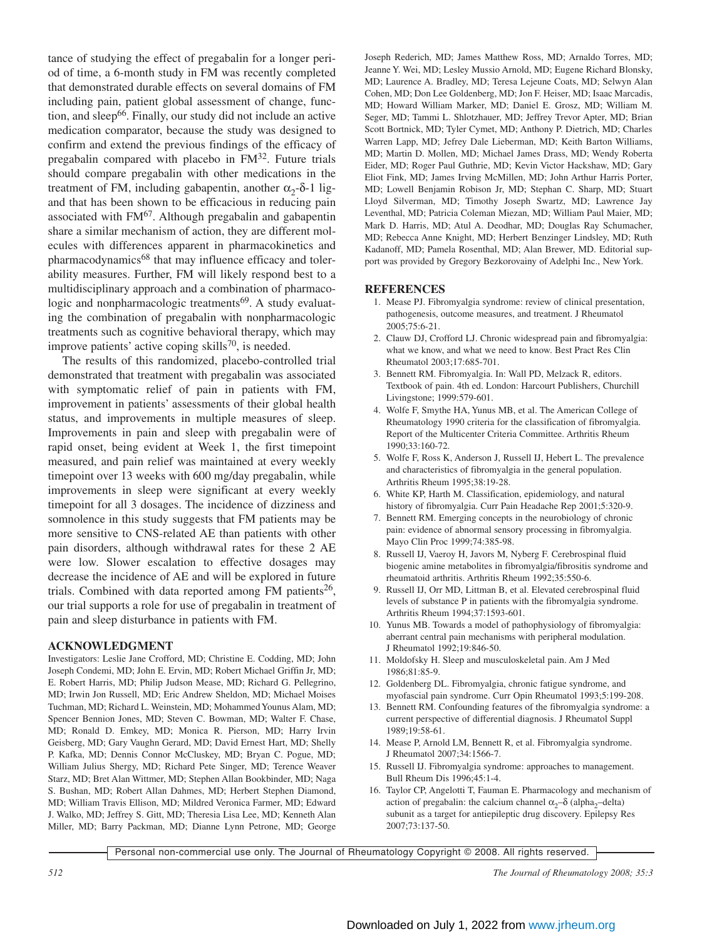tance of studying the effect of pregabalin for a longer period of time, a 6-month study in FM was recently completed that demonstrated durable effects on several domains of FM including pain, patient global assessment of change, function, and sleep<sup>66</sup>. Finally, our study did not include an active medication comparator, because the study was designed to confirm and extend the previous findings of the efficacy of pregabalin compared with placebo in  $FM^{32}$ . Future trials should compare pregabalin with other medications in the treatment of FM, including gabapentin, another  $\alpha_2$ -δ-1 ligand that has been shown to be efficacious in reducing pain associated with  $FM^{67}$ . Although pregabalin and gabapentin share a similar mechanism of action, they are different molecules with differences apparent in pharmacokinetics and pharmacodynamics<sup>68</sup> that may influence efficacy and tolerability measures. Further, FM will likely respond best to a multidisciplinary approach and a combination of pharmacologic and nonpharmacologic treatments<sup>69</sup>. A study evaluating the combination of pregabalin with nonpharmacologic treatments such as cognitive behavioral therapy, which may improve patients' active coping skills<sup>70</sup>, is needed.

The results of this randomized, placebo-controlled trial demonstrated that treatment with pregabalin was associated with symptomatic relief of pain in patients with FM, improvement in patients' assessments of their global health status, and improvements in multiple measures of sleep. Improvements in pain and sleep with pregabalin were of rapid onset, being evident at Week 1, the first timepoint measured, and pain relief was maintained at every weekly timepoint over 13 weeks with 600 mg/day pregabalin, while improvements in sleep were significant at every weekly timepoint for all 3 dosages. The incidence of dizziness and somnolence in this study suggests that FM patients may be more sensitive to CNS-related AE than patients with other pain disorders, although withdrawal rates for these 2 AE were low. Slower escalation to effective dosages may decrease the incidence of AE and will be explored in future trials. Combined with data reported among FM patients<sup>26</sup>, our trial supports a role for use of pregabalin in treatment of pain and sleep disturbance in patients with FM.

## **ACKNOWLEDGMENT**

Investigators: Leslie Jane Crofford, MD; Christine E. Codding, MD; John Joseph Condemi, MD; John E. Ervin, MD; Robert Michael Griffin Jr, MD; E. Robert Harris, MD; Philip Judson Mease, MD; Richard G. Pellegrino, MD; Irwin Jon Russell, MD; Eric Andrew Sheldon, MD; Michael Moises Tuchman, MD; Richard L. Weinstein, MD; Mohammed Younus Alam, MD; Spencer Bennion Jones, MD; Steven C. Bowman, MD; Walter F. Chase, MD; Ronald D. Emkey, MD; Monica R. Pierson, MD; Harry Irvin Geisberg, MD; Gary Vaughn Gerard, MD; David Ernest Hart, MD; Shelly P. Kafka, MD; Dennis Connor McCluskey, MD; Bryan C. Pogue, MD; William Julius Shergy, MD; Richard Pete Singer, MD; Terence Weaver Starz, MD; Bret Alan Wittmer, MD; Stephen Allan Bookbinder, MD; Naga S. Bushan, MD; Robert Allan Dahmes, MD; Herbert Stephen Diamond, MD; William Travis Ellison, MD; Mildred Veronica Farmer, MD; Edward J. Walko, MD; Jeffrey S. Gitt, MD; Theresia Lisa Lee, MD; Kenneth Alan Miller, MD; Barry Packman, MD; Dianne Lynn Petrone, MD; George

Joseph Rederich, MD; James Matthew Ross, MD; Arnaldo Torres, MD; Jeanne Y. Wei, MD; Lesley Mussio Arnold, MD; Eugene Richard Blonsky, MD; Laurence A. Bradley, MD; Teresa Lejeune Coats, MD; Selwyn Alan Cohen, MD; Don Lee Goldenberg, MD; Jon F. Heiser, MD; Isaac Marcadis, MD; Howard William Marker, MD; Daniel E. Grosz, MD; William M. Seger, MD; Tammi L. Shlotzhauer, MD; Jeffrey Trevor Apter, MD; Brian Scott Bortnick, MD; Tyler Cymet, MD; Anthony P. Dietrich, MD; Charles Warren Lapp, MD; Jefrey Dale Lieberman, MD; Keith Barton Williams, MD; Martin D. Mollen, MD; Michael James Drass, MD; Wendy Roberta Eider, MD; Roger Paul Guthrie, MD; Kevin Victor Hackshaw, MD; Gary Eliot Fink, MD; James Irving McMillen, MD; John Arthur Harris Porter, MD; Lowell Benjamin Robison Jr, MD; Stephan C. Sharp, MD; Stuart Lloyd Silverman, MD; Timothy Joseph Swartz, MD; Lawrence Jay Leventhal, MD; Patricia Coleman Miezan, MD; William Paul Maier, MD; Mark D. Harris, MD; Atul A. Deodhar, MD; Douglas Ray Schumacher, MD; Rebecca Anne Knight, MD; Herbert Benzinger Lindsley, MD; Ruth Kadanoff, MD; Pamela Rosenthal, MD; Alan Brewer, MD. Editorial support was provided by Gregory Bezkorovainy of Adelphi Inc., New York.

## **REFERENCES**

- 1. Mease PJ. Fibromyalgia syndrome: review of clinical presentation, pathogenesis, outcome measures, and treatment. J Rheumatol 2005;75:6-21.
- 2. Clauw DJ, Crofford LJ. Chronic widespread pain and fibromyalgia: what we know, and what we need to know. Best Pract Res Clin Rheumatol 2003;17:685-701.
- 3. Bennett RM. Fibromyalgia. In: Wall PD, Melzack R, editors. Textbook of pain. 4th ed. London: Harcourt Publishers, Churchill Livingstone; 1999:579-601.
- 4. Wolfe F, Smythe HA, Yunus MB, et al. The American College of Rheumatology 1990 criteria for the classification of fibromyalgia. Report of the Multicenter Criteria Committee. Arthritis Rheum 1990;33:160-72.
- 5. Wolfe F, Ross K, Anderson J, Russell IJ, Hebert L. The prevalence and characteristics of fibromyalgia in the general population. Arthritis Rheum 1995;38:19-28.
- 6. White KP, Harth M. Classification, epidemiology, and natural history of fibromyalgia. Curr Pain Headache Rep 2001;5:320-9.
- 7. Bennett RM. Emerging concepts in the neurobiology of chronic pain: evidence of abnormal sensory processing in fibromyalgia. Mayo Clin Proc 1999;74:385-98.
- 8. Russell IJ, Vaeroy H, Javors M, Nyberg F. Cerebrospinal fluid biogenic amine metabolites in fibromyalgia/fibrositis syndrome and rheumatoid arthritis. Arthritis Rheum 1992;35:550-6.
- 9. Russell IJ, Orr MD, Littman B, et al. Elevated cerebrospinal fluid levels of substance P in patients with the fibromyalgia syndrome. Arthritis Rheum 1994;37:1593-601.
- 10. Yunus MB. Towards a model of pathophysiology of fibromyalgia: aberrant central pain mechanisms with peripheral modulation. J Rheumatol 1992;19:846-50.
- 11. Moldofsky H. Sleep and musculoskeletal pain. Am J Med 1986;81:85-9.
- 12. Goldenberg DL. Fibromyalgia, chronic fatigue syndrome, and myofascial pain syndrome. Curr Opin Rheumatol 1993;5:199-208.
- 13. Bennett RM. Confounding features of the fibromyalgia syndrome: a current perspective of differential diagnosis. J Rheumatol Suppl 1989;19:58-61.
- 14. Mease P, Arnold LM, Bennett R, et al. Fibromyalgia syndrome. J Rheumatol 2007;34:1566-7.
- 15. Russell IJ. Fibromyalgia syndrome: approaches to management. Bull Rheum Dis 1996;45:1-4.
- 16. Taylor CP, Angelotti T, Fauman E. Pharmacology and mechanism of action of pregabalin: the calcium channel  $\alpha_{2}$ – $\delta$  (alpha<sub>2</sub>–delta) subunit as a target for antiepileptic drug discovery. Epilepsy Res 2007;73:137-50.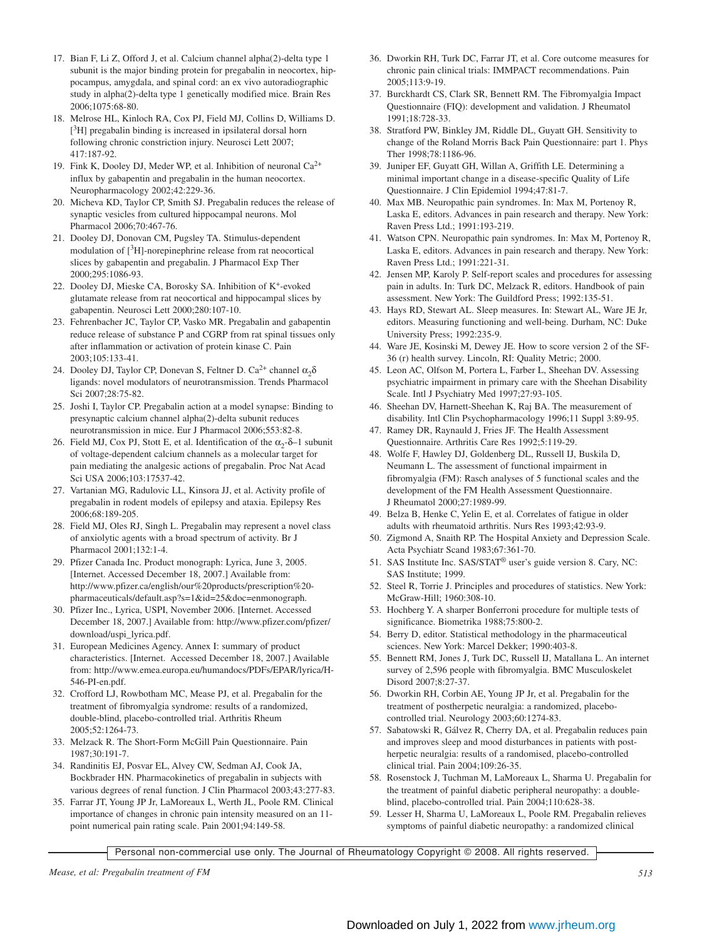- 17. Bian F, Li Z, Offord J, et al. Calcium channel alpha(2)-delta type 1 subunit is the major binding protein for pregabalin in neocortex, hippocampus, amygdala, and spinal cord: an ex vivo autoradiographic study in alpha(2)-delta type 1 genetically modified mice. Brain Res 2006;1075:68-80.
- 18. Melrose HL, Kinloch RA, Cox PJ, Field MJ, Collins D, Williams D. [3H] pregabalin binding is increased in ipsilateral dorsal horn following chronic constriction injury. Neurosci Lett 2007; 417:187-92.
- 19. Fink K, Dooley DJ, Meder WP, et al. Inhibition of neuronal  $Ca^{2+}$ influx by gabapentin and pregabalin in the human neocortex. Neuropharmacology 2002;42:229-36.
- 20. Micheva KD, Taylor CP, Smith SJ. Pregabalin reduces the release of synaptic vesicles from cultured hippocampal neurons. Mol Pharmacol 2006;70:467-76.
- 21. Dooley DJ, Donovan CM, Pugsley TA. Stimulus-dependent modulation of  $[3H]$ -norepinephrine release from rat neocortical slices by gabapentin and pregabalin. J Pharmacol Exp Ther 2000;295:1086-93.
- 22. Dooley DJ, Mieske CA, Borosky SA. Inhibition of K+-evoked glutamate release from rat neocortical and hippocampal slices by gabapentin. Neurosci Lett 2000;280:107-10.
- 23. Fehrenbacher JC, Taylor CP, Vasko MR. Pregabalin and gabapentin reduce release of substance P and CGRP from rat spinal tissues only after inflammation or activation of protein kinase C. Pain 2003;105:133-41.
- 24. Dooley DJ, Taylor CP, Donevan S, Feltner D. Ca<sup>2+</sup> channel  $\alpha_2\delta$ ligands: novel modulators of neurotransmission. Trends Pharmacol Sci 2007;28:75-82.
- 25. Joshi I, Taylor CP. Pregabalin action at a model synapse: Binding to presynaptic calcium channel alpha(2)-delta subunit reduces neurotransmission in mice. Eur J Pharmacol 2006;553:82-8.
- 26. Field MJ, Cox PJ, Stott E, et al. Identification of the  $\alpha_{2}$ - $\delta$ -1 subunit of voltage-dependent calcium channels as a molecular target for pain mediating the analgesic actions of pregabalin. Proc Nat Acad Sci USA 2006;103:17537-42.
- 27. Vartanian MG, Radulovic LL, Kinsora JJ, et al. Activity profile of pregabalin in rodent models of epilepsy and ataxia. Epilepsy Res 2006;68:189-205.
- 28. Field MJ, Oles RJ, Singh L. Pregabalin may represent a novel class of anxiolytic agents with a broad spectrum of activity. Br J Pharmacol 2001;132:1-4.
- 29. Pfizer Canada Inc. Product monograph: Lyrica, June 3, 2005. [Internet. Accessed December 18, 2007.] Available from: http://www.pfizer.ca/english/our%20products/prescription%20 pharmaceuticals/default.asp?s=1&id=25&doc=enmonograph.
- 30. Pfizer Inc., Lyrica, USPI, November 2006. [Internet. Accessed December 18, 2007.] Available from: http://www.pfizer.com/pfizer/ download/uspi\_lyrica.pdf.
- 31. European Medicines Agency. Annex I: summary of product characteristics. [Internet. Accessed December 18, 2007.] Available from: http://www.emea.europa.eu/humandocs/PDFs/EPAR/lyrica/H-546-PI-en.pdf.
- 32. Crofford LJ, Rowbotham MC, Mease PJ, et al. Pregabalin for the treatment of fibromyalgia syndrome: results of a randomized, double-blind, placebo-controlled trial. Arthritis Rheum 2005;52:1264-73.
- 33. Melzack R. The Short-Form McGill Pain Questionnaire. Pain 1987;30:191-7.
- 34. Randinitis EJ, Posvar EL, Alvey CW, Sedman AJ, Cook JA, Bockbrader HN. Pharmacokinetics of pregabalin in subjects with various degrees of renal function. J Clin Pharmacol 2003;43:277-83.
- 35. Farrar JT, Young JP Jr, LaMoreaux L, Werth JL, Poole RM. Clinical importance of changes in chronic pain intensity measured on an 11 point numerical pain rating scale. Pain 2001;94:149-58.
- 36. Dworkin RH, Turk DC, Farrar JT, et al. Core outcome measures for chronic pain clinical trials: IMMPACT recommendations. Pain 2005;113:9-19.
- 37. Burckhardt CS, Clark SR, Bennett RM. The Fibromyalgia Impact Questionnaire (FIQ): development and validation. J Rheumatol 1991;18:728-33.
- 38. Stratford PW, Binkley JM, Riddle DL, Guyatt GH. Sensitivity to change of the Roland Morris Back Pain Questionnaire: part 1. Phys Ther 1998;78:1186-96.
- 39. Juniper EF, Guyatt GH, Willan A, Griffith LE. Determining a minimal important change in a disease-specific Quality of Life Questionnaire. J Clin Epidemiol 1994;47:81-7.
- 40. Max MB. Neuropathic pain syndromes. In: Max M, Portenoy R, Laska E, editors. Advances in pain research and therapy. New York: Raven Press Ltd.; 1991:193-219.
- 41. Watson CPN. Neuropathic pain syndromes. In: Max M, Portenoy R, Laska E, editors. Advances in pain research and therapy. New York: Raven Press Ltd.; 1991:221-31.
- 42. Jensen MP, Karoly P. Self-report scales and procedures for assessing pain in adults. In: Turk DC, Melzack R, editors. Handbook of pain assessment. New York: The Guildford Press; 1992:135-51.
- 43. Hays RD, Stewart AL. Sleep measures. In: Stewart AL, Ware JE Jr, editors. Measuring functioning and well-being. Durham, NC: Duke University Press; 1992:235-9.
- 44. Ware JE, Kosinski M, Dewey JE. How to score version 2 of the SF-36 (r) health survey. Lincoln, RI: Quality Metric; 2000.
- 45. Leon AC, Olfson M, Portera L, Farber L, Sheehan DV. Assessing psychiatric impairment in primary care with the Sheehan Disability Scale. Intl J Psychiatry Med 1997;27:93-105.
- 46. Sheehan DV, Harnett-Sheehan K, Raj BA. The measurement of disability. Intl Clin Psychopharmacology 1996;11 Suppl 3:89-95.
- 47. Ramey DR, Raynauld J, Fries JF. The Health Assessment Questionnaire. Arthritis Care Res 1992;5:119-29.
- 48. Wolfe F, Hawley DJ, Goldenberg DL, Russell IJ, Buskila D, Neumann L. The assessment of functional impairment in fibromyalgia (FM): Rasch analyses of 5 functional scales and the development of the FM Health Assessment Questionnaire. J Rheumatol 2000;27:1989-99.
- 49. Belza B, Henke C, Yelin E, et al. Correlates of fatigue in older adults with rheumatoid arthritis. Nurs Res 1993;42:93-9.
- 50. Zigmond A, Snaith RP. The Hospital Anxiety and Depression Scale. Acta Psychiatr Scand 1983;67:361-70.
- 51. SAS Institute Inc. SAS/STAT® user's guide version 8. Cary, NC: SAS Institute; 1999.
- 52. Steel R, Torrie J. Principles and procedures of statistics. New York: McGraw-Hill; 1960:308-10.
- 53. Hochberg Y. A sharper Bonferroni procedure for multiple tests of significance. Biometrika 1988;75:800-2.
- 54. Berry D, editor. Statistical methodology in the pharmaceutical sciences. New York: Marcel Dekker; 1990:403-8.
- 55. Bennett RM, Jones J, Turk DC, Russell IJ, Matallana L. An internet survey of 2,596 people with fibromyalgia. BMC Musculoskelet Disord 2007;8:27-37.
- 56. Dworkin RH, Corbin AE, Young JP Jr, et al. Pregabalin for the treatment of postherpetic neuralgia: a randomized, placebocontrolled trial. Neurology 2003;60:1274-83.
- 57. Sabatowski R, Gálvez R, Cherry DA, et al. Pregabalin reduces pain and improves sleep and mood disturbances in patients with postherpetic neuralgia: results of a randomised, placebo-controlled clinical trial. Pain 2004;109:26-35.
- 58. Rosenstock J, Tuchman M, LaMoreaux L, Sharma U. Pregabalin for the treatment of painful diabetic peripheral neuropathy: a doubleblind, placebo-controlled trial. Pain 2004;110:628-38.
- 59. Lesser H, Sharma U, LaMoreaux L, Poole RM. Pregabalin relieves symptoms of painful diabetic neuropathy: a randomized clinical